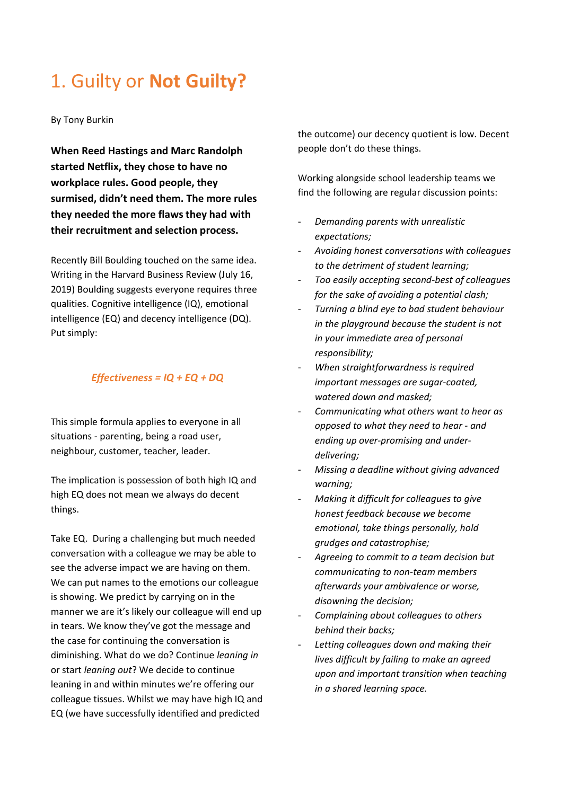## 1. Guilty or **Not Guilty?**

By Tony Burkin

**When Reed Hastings and Marc Randolph started Netflix, they chose to have no workplace rules. Good people, they surmised, didn't need them. The more rules they needed the more flaws they had with their recruitment and selection process.** 

Recently Bill Boulding touched on the same idea. Writing in the Harvard Business Review (July 16, 2019) Boulding suggests everyone requires three qualities. Cognitive intelligence (IQ), emotional intelligence (EQ) and decency intelligence (DQ). Put simply:

## *Effectiveness = IQ + EQ + DQ*

This simple formula applies to everyone in all situations - parenting, being a road user, neighbour, customer, teacher, leader.

The implication is possession of both high IQ and high EQ does not mean we always do decent things.

Take EQ. During a challenging but much needed conversation with a colleague we may be able to see the adverse impact we are having on them. We can put names to the emotions our colleague is showing. We predict by carrying on in the manner we are it's likely our colleague will end up in tears. We know they've got the message and the case for continuing the conversation is diminishing. What do we do? Continue *leaning in* or start *leaning out*? We decide to continue leaning in and within minutes we're offering our colleague tissues. Whilst we may have high IQ and EQ (we have successfully identified and predicted

the outcome) our decency quotient is low. Decent people don't do these things.

Working alongside school leadership teams we find the following are regular discussion points:

- *Demanding parents with unrealistic expectations;*
- *Avoiding honest conversations with colleagues to the detriment of student learning;*
- *Too easily accepting second-best of colleagues for the sake of avoiding a potential clash;*
- *Turning a blind eye to bad student behaviour in the playground because the student is not in your immediate area of personal responsibility;*
- *When straightforwardness is required important messages are sugar-coated, watered down and masked;*
- *Communicating what others want to hear as opposed to what they need to hear - and ending up over-promising and underdelivering;*
- *Missing a deadline without giving advanced warning;*
- *Making it difficult for colleagues to give honest feedback because we become emotional, take things personally, hold grudges and catastrophise;*
- *Agreeing to commit to a team decision but communicating to non-team members afterwards your ambivalence or worse, disowning the decision;*
- *Complaining about colleagues to others behind their backs;*
- *Letting colleagues down and making their lives difficult by failing to make an agreed upon and important transition when teaching in a shared learning space.*